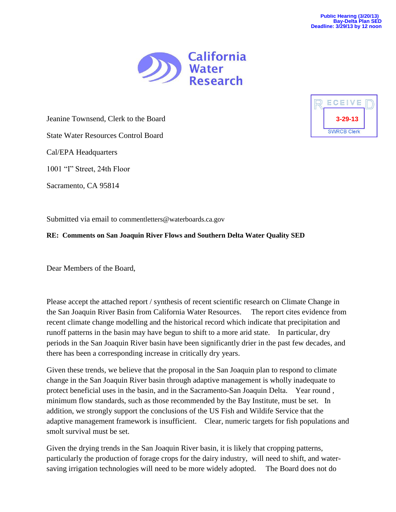

Jeanine Townsend, Clerk to the Board

State Water Resources Control Board

Cal/EPA Headquarters

1001 "I" Street, 24th Floor

Sacramento, CA 95814

Submitted via email to commentletters@waterboards.ca.gov

## **RE: Comments on San Joaquin River Flows and Southern Delta Water Quality SED**

Dear Members of the Board,

Please accept the attached report / synthesis of recent scientific research on Climate Change in the San Joaquin River Basin from California Water Resources. The report cites evidence from recent climate change modelling and the historical record which indicate that precipitation and runoff patterns in the basin may have begun to shift to a more arid state. In particular, dry periods in the San Joaquin River basin have been significantly drier in the past few decades, and there has been a corresponding increase in critically dry years.

Given these trends, we believe that the proposal in the San Joaquin plan to respond to climate change in the San Joaquin River basin through adaptive management is wholly inadequate to protect beneficial uses in the basin, and in the Sacramento-San Joaquin Delta. Year round , minimum flow standards, such as those recommended by the Bay Institute, must be set. In addition, we strongly support the conclusions of the US Fish and Wildife Service that the adaptive management framework is insufficient. Clear, numeric targets for fish populations and smolt survival must be set.

Given the drying trends in the San Joaquin River basin, it is likely that cropping patterns, particularly the production of forage crops for the dairy industry, will need to shift, and watersaving irrigation technologies will need to be more widely adopted. The Board does not do

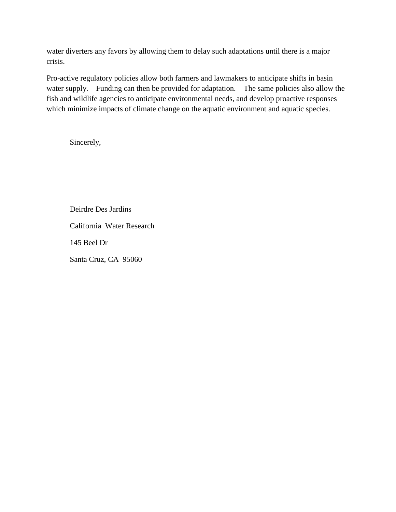water diverters any favors by allowing them to delay such adaptations until there is a major crisis.

Pro-active regulatory policies allow both farmers and lawmakers to anticipate shifts in basin water supply. Funding can then be provided for adaptation. The same policies also allow the fish and wildlife agencies to anticipate environmental needs, and develop proactive responses which minimize impacts of climate change on the aquatic environment and aquatic species.

Sincerely,

Deirdre Des Jardins California Water Research 145 Beel Dr Santa Cruz, CA 95060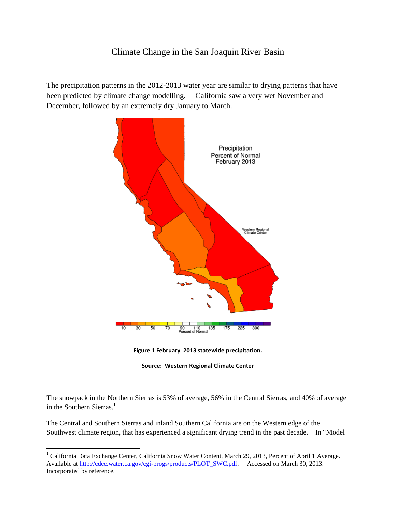## Climate Change in the San Joaquin River Basin

The precipitation patterns in the 2012-2013 water year are similar to drying patterns that have been predicted by climate change modelling. California saw a very wet November and December, followed by an extremely dry January to March.







The snowpack in the Northern Sierras is 53% of average, 56% in the Central Sierras, and 40% of average in the Southern Sierras. $<sup>1</sup>$ </sup>

The Central and Southern Sierras and inland Southern California are on the Western edge of the Southwest climate region, that has experienced a significant drying trend in the past decade. In "Model

<sup>&</sup>lt;sup>1</sup> California Data Exchange Center, California Snow Water Content, March 29, 2013, Percent of April 1 Average. Available at [http://cdec.water.ca.gov/cgi-progs/products/PLOT\\_SWC.pdf.](http://cdec.water.ca.gov/cgi-progs/products/PLOT_SWC.pdf) Accessed on March 30, 2013. Incorporated by reference.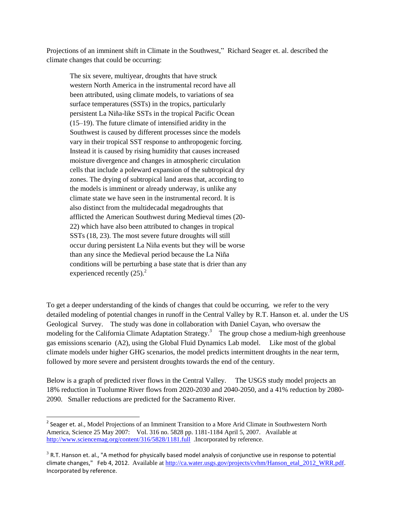Projections of an imminent shift in Climate in the Southwest," Richard Seager et. al. described the climate changes that could be occurring:

The six severe, multiyear, droughts that have struck western North America in the instrumental record have all been attributed, using climate models, to variations of sea surface temperatures (SSTs) in the tropics, particularly persistent La Niña-like SSTs in the tropical Pacific Ocean (15–19). The future climate of intensified aridity in the Southwest is caused by different processes since the models vary in their tropical SST response to anthropogenic forcing. Instead it is caused by rising humidity that causes increased moisture divergence and changes in atmospheric circulation cells that include a poleward expansion of the subtropical dry zones. The drying of subtropical land areas that, according to the models is imminent or already underway, is unlike any climate state we have seen in the instrumental record. It is also distinct from the multidecadal megadroughts that afflicted the American Southwest during Medieval times (20- 22) which have also been attributed to changes in tropical SSTs (18, 23). The most severe future droughts will still occur during persistent La Niña events but they will be worse than any since the Medieval period because the La Niña conditions will be perturbing a base state that is drier than any experienced recently  $(25)^2$ .

To get a deeper understanding of the kinds of changes that could be occurring, we refer to the very detailed modeling of potential changes in runoff in the Central Valley by R.T. Hanson et. al. under the US Geological Survey. The study was done in collaboration with Daniel Cayan, who oversaw the modeling for the California Climate Adaptation Strategy.<sup>3</sup> The group chose a medium-high greenhouse gas emissions scenario (A2), using the Global Fluid Dynamics Lab model. Like most of the global climate models under higher GHG scenarios, the model predicts intermittent droughts in the near term, followed by more severe and persistent droughts towards the end of the century.

Below is a graph of predicted river flows in the Central Valley. The USGS study model projects an 18% reduction in Tuolumne River flows from 2020-2030 and 2040-2050, and a 41% reduction by 2080- 2090. Smaller reductions are predicted for the Sacramento River.

 $\overline{\phantom{a}}$ 

<sup>&</sup>lt;sup>2</sup> Seager et. al., Model Projections of an Imminent Transition to a More Arid Climate in Southwestern North America, Science 25 May 2007: Vol. 316 no. 5828 pp. 1181-1184 April 5, 2007. Available at <http://www.sciencemag.org/content/316/5828/1181.full>.Incorporated by reference.

 $3$  R.T. Hanson et. al., "A method for physically based model analysis of conjunctive use in response to potential climate changes," Feb 4, 2012. Available at [http://ca.water.usgs.gov/projects/cvhm/Hanson\\_etal\\_2012\\_WRR.pdf](http://ca.water.usgs.gov/projects/cvhm/Hanson_etal_2012_WRR.pdf). Incorporated by reference.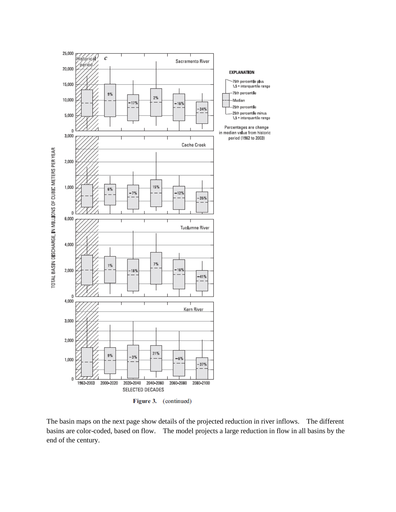

The basin maps on the next page show details of the projected reduction in river inflows. The different basins are color-coded, based on flow. The model projects a large reduction in flow in all basins by the end of the century.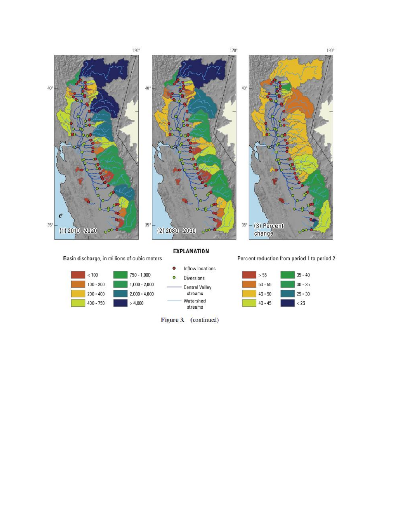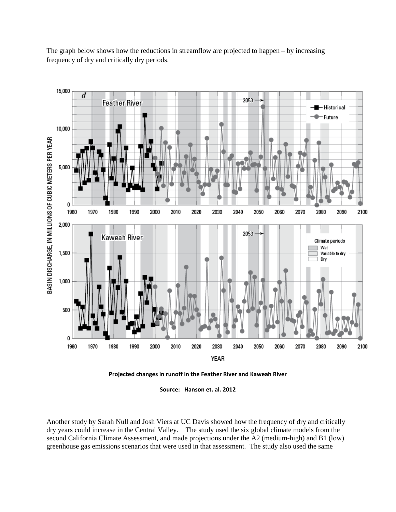15,000 d 2053 **Feather River** Historical - Future 10,000 BASIN DISCHARGE, IN MILLIONS OF CUBIC METERS PER YEAR 5,000 0 1960 1970 1980 1990 2000 2010 2020 2030 2040 2050 2060 2070 2080 2090 2100 2,000 2053 Kaweah River Climate periods Wet 1,500 Variable to dry Dry 1,000 500 0 1960 1970 1980 1990 2000 2010 2020 2030 2040 2050 2060 2070 2080 2090 2100 YEAR

The graph below shows how the reductions in streamflow are projected to happen – by increasing frequency of dry and critically dry periods.



**Source: Hanson et. al. 2012**

Another study by Sarah Null and Josh Viers at UC Davis showed how the frequency of dry and critically dry years could increase in the Central Valley. The study used the six global climate models from the second California Climate Assessment, and made projections under the A2 (medium-high) and B1 (low) greenhouse gas emissions scenarios that were used in that assessment. The study also used the same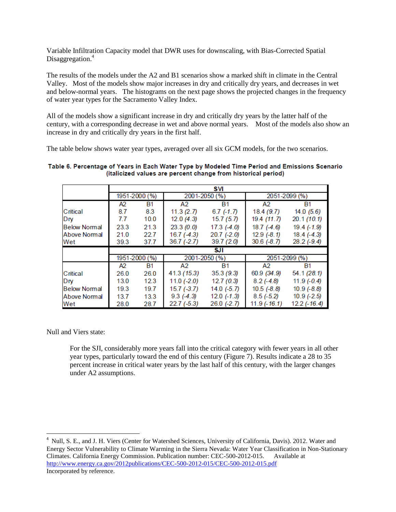Variable Infiltration Capacity model that DWR uses for downscaling, with Bias-Corrected Spatial Disaggregation.<sup>4</sup>

The results of the models under the A2 and B1 scenarios show a marked shift in climate in the Central Valley. Most of the models show major increases in dry and critically dry years, and decreases in wet and below-normal years. The histograms on the next page shows the projected changes in the frequency of water year types for the Sacramento Valley Index.

All of the models show a significant increase in dry and critically dry years by the latter half of the century, with a corresponding decrease in wet and above normal years. Most of the models also show an increase in dry and critically dry years in the first half.

The table below shows water year types, averaged over all six GCM models, for the two scenarios.

## Table 6. Percentage of Years in Each Water Type by Modeled Time Period and Emissions Scenario (italicized values are percent change from historical period)

|                     |               |      |                | SVI             |                |              |
|---------------------|---------------|------|----------------|-----------------|----------------|--------------|
|                     | 1951-2000 (%) |      | 2001-2050 (%)  |                 | 2051-2099 (%)  |              |
|                     | A2            | Β1   | A <sub>2</sub> | <b>B1</b>       | A <sub>2</sub> | B1           |
| Critical            | 8.7           | 8.3  | 11.3(2.7)      | $6.7$ (-1.7)    | 18.4(9.7)      | 14.0(5.6)    |
| Dry                 | 7.7           | 10.0 | 12.0(4.3)      | 15.7(5.7)       | 19.4 (11.7)    | 20.1(10.1)   |
| <b>Below Normal</b> | 23.3          | 21.3 | 23.3(0.0)      | $17.3$ $(-4.0)$ | $18.7(-4.6)$   | $19.4(-1.9)$ |
| <b>Above Normal</b> | 21.0          | 22.7 | 16.7(4.3)      | $20.7$ $(-2.0)$ | $12.9(-8.1)$   | $18.4(-4.3)$ |
| Wet                 | 39.3          | 37.7 | $36.7(-2.7)$   | 39.7(2.0)       | $30.6(-8.7)$   | $28.2(-9.4)$ |
|                     | SJI           |      |                |                 |                |              |
|                     | 1951-2000 (%) |      | 2001-2050 (%)  |                 | 2051-2099 (%)  |              |
|                     | A2            | B1   | A2             | <b>B1</b>       | A2             | B1           |
|                     |               |      |                |                 |                |              |
| Critical            | 26.0          | 26.0 | 41.3 (15.3)    | 35.3(9.3)       | 60.9 (34.9)    | 54.1(28.1)   |
| Dry                 | 13.0          | 12.3 | $11.0(-2.0)$   | 12.7(0.3)       | $8.2(-4.8)$    | $11.9(-0.4)$ |
| <b>Below Normal</b> | 19.3          | 19.7 | $15.7(-3.7)$   | $14.0(-5.7)$    | $10.5(-8.8)$   | $10.9(-8.8)$ |
| Above Normal        | 13.7          | 13.3 | $9.3( -4.3)$   | $12.0(-1.3)$    | $8.5(-5.2)$    | $10.9(-2.5)$ |

Null and Viers state:

 $\overline{\phantom{a}}$ 

For the SJI, considerably more years fall into the critical category with fewer years in all other year types, particularly toward the end of this century (Figure 7). Results indicate a 28 to 35 percent increase in critical water years by the last half of this century, with the larger changes under A2 assumptions.

<sup>&</sup>lt;sup>4</sup> Null, S. E., and J. H. Viers (Center for Watershed Sciences, University of California, Davis). 2012. Water and Energy Sector Vulnerability to Climate Warming in the Sierra Nevada: Water Year Classification in Non-Stationary Climates. California Energy Commission. Publication number: CEC-500-2012-015. Available at <http://www.energy.ca.gov/2012publications/CEC-500-2012-015/CEC-500-2012-015.pdf> Incorporated by reference.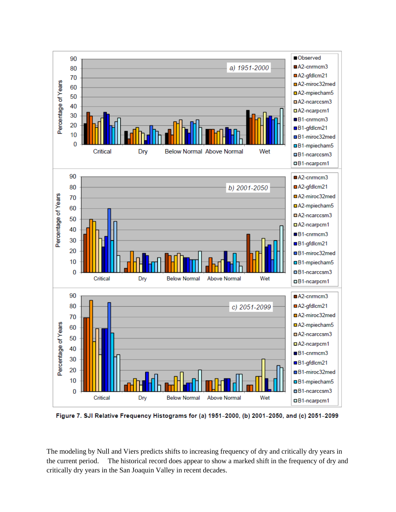

Figure 7. SJI Relative Frequency Histograms for (a) 1951-2000, (b) 2001-2050, and (c) 2051-2099

The modeling by Null and Viers predicts shifts to increasing frequency of dry and critically dry years in the current period. The historical record does appear to show a marked shift in the frequency of dry and critically dry years in the San Joaquin Valley in recent decades.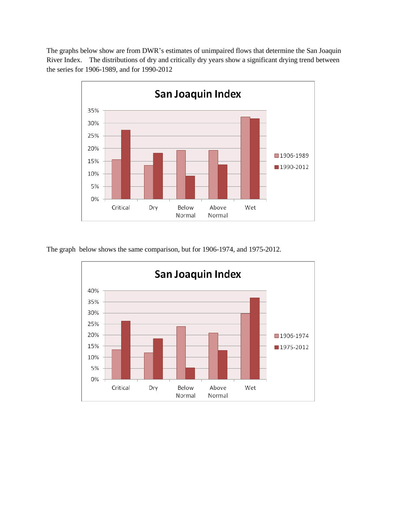The graphs below show are from DWR's estimates of unimpaired flows that determine the San Joaquin River Index. The distributions of dry and critically dry years show a significant drying trend between the series for 1906-1989, and for 1990-2012



The graph below shows the same comparison, but for 1906-1974, and 1975-2012.

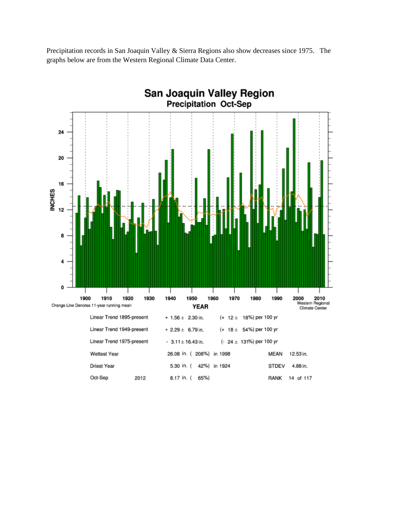Precipitation records in San Joaquin Valley & Sierra Regions also show decreases since 1975. The graphs below are from the Western Regional Climate Data Center.

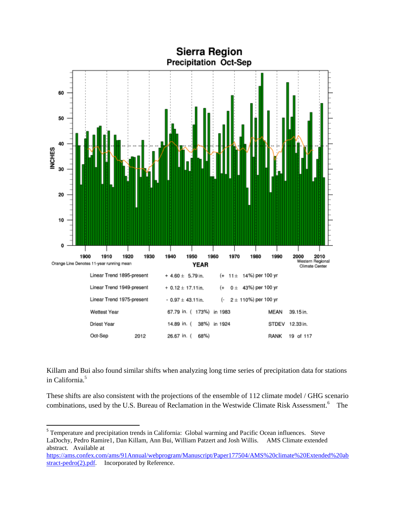

Killam and Bui also found similar shifts when analyzing long time series of precipitation data for stations in California.<sup>5</sup>

These shifts are also consistent with the projections of the ensemble of 112 climate model / GHG scenario combinations, used by the U.S. Bureau of Reclamation in the Westwide Climate Risk Assessment.<sup>6</sup> The

<sup>&</sup>lt;sup>5</sup><br>Temperature and precipitation trends in California: Global warming and Pacific Ocean influences. Steve LaDochy, Pedro Ramire1, Dan Killam, Ann Bui, William Patzert and Josh Willis. AMS Climate extended abstract. Available at

[https://ams.confex.com/ams/91Annual/webprogram/Manuscript/Paper177504/AMS%20climate%20Extended%20ab](https://ams.confex.com/ams/91Annual/webprogram/Manuscript/Paper177504/AMS%20climate%20Extended%20abstract-pedro%282%29.pdf) [stract-pedro\(2\).pdf](https://ams.confex.com/ams/91Annual/webprogram/Manuscript/Paper177504/AMS%20climate%20Extended%20abstract-pedro%282%29.pdf). Incorporated by Reference.